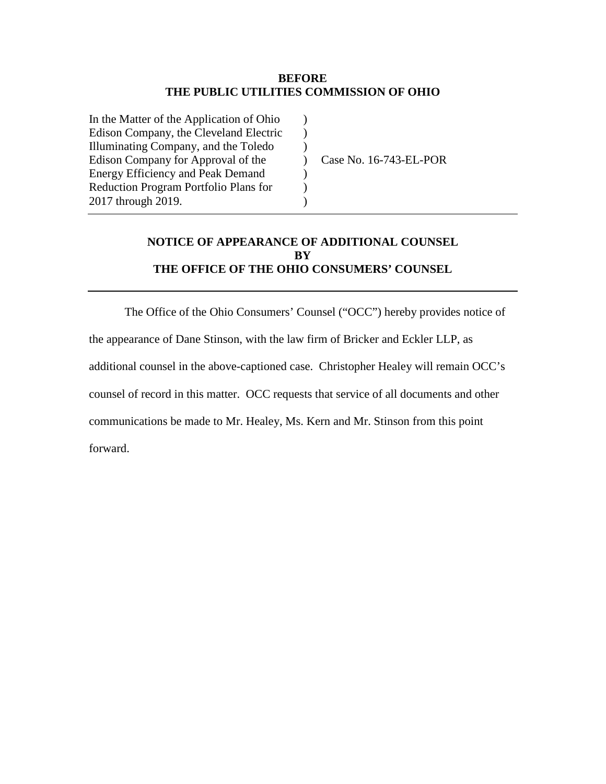#### **BEFORE THE PUBLIC UTILITIES COMMISSION OF OHIO**

| In the Matter of the Application of Ohio     |  |
|----------------------------------------------|--|
| Edison Company, the Cleveland Electric       |  |
| Illuminating Company, and the Toledo         |  |
| Edison Company for Approval of the           |  |
| <b>Energy Efficiency and Peak Demand</b>     |  |
| <b>Reduction Program Portfolio Plans for</b> |  |
| 2017 through 2019.                           |  |
|                                              |  |

Case No. 16-743-EL-POR

# **NOTICE OF APPEARANCE OF ADDITIONAL COUNSEL BY THE OFFICE OF THE OHIO CONSUMERS' COUNSEL**

The Office of the Ohio Consumers' Counsel ("OCC") hereby provides notice of the appearance of Dane Stinson, with the law firm of Bricker and Eckler LLP, as additional counsel in the above-captioned case. Christopher Healey will remain OCC's counsel of record in this matter. OCC requests that service of all documents and other communications be made to Mr. Healey, Ms. Kern and Mr. Stinson from this point forward.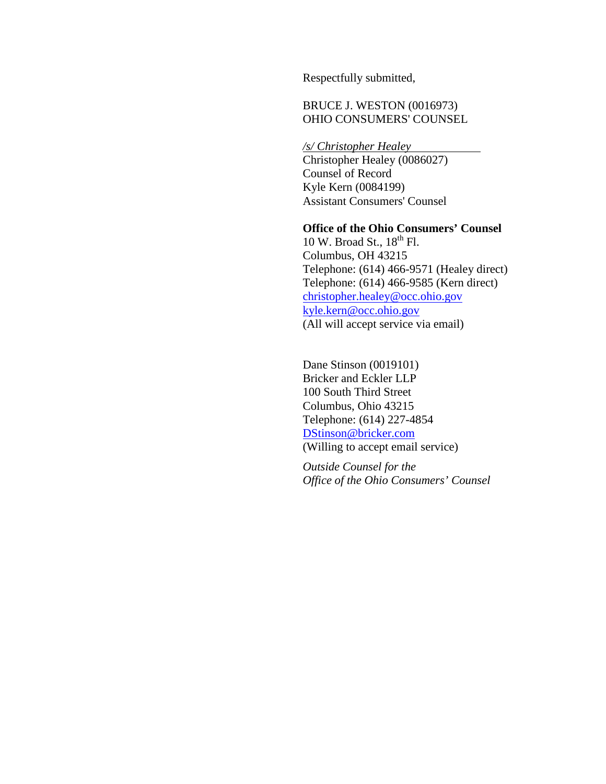Respectfully submitted,

# BRUCE J. WESTON (0016973) OHIO CONSUMERS' COUNSEL

*/s/ Christopher Healey*

Christopher Healey (0086027) Counsel of Record Kyle Kern (0084199) Assistant Consumers' Counsel

### **Office of the Ohio Consumers' Counsel**

10 W. Broad St., 18<sup>th</sup> Fl. Columbus, OH 43215 Telephone: (614) 466-9571 (Healey direct) Telephone: (614) 466-9585 (Kern direct) [christopher.healey@occ.ohio.gov](mailto:christopher.healey@occ.ohio.gov) [kyle.kern@occ.ohio.gov](mailto:kyle.kern@occ.ohio.gov) (All will accept service via email)

Dane Stinson (0019101) Bricker and Eckler LLP 100 South Third Street Columbus, Ohio 43215 Telephone: (614) 227-4854 [DStinson@bricker.com](mailto:DStinson@bricker.com) (Willing to accept email service)

*Outside Counsel for the Office of the Ohio Consumers' Counsel*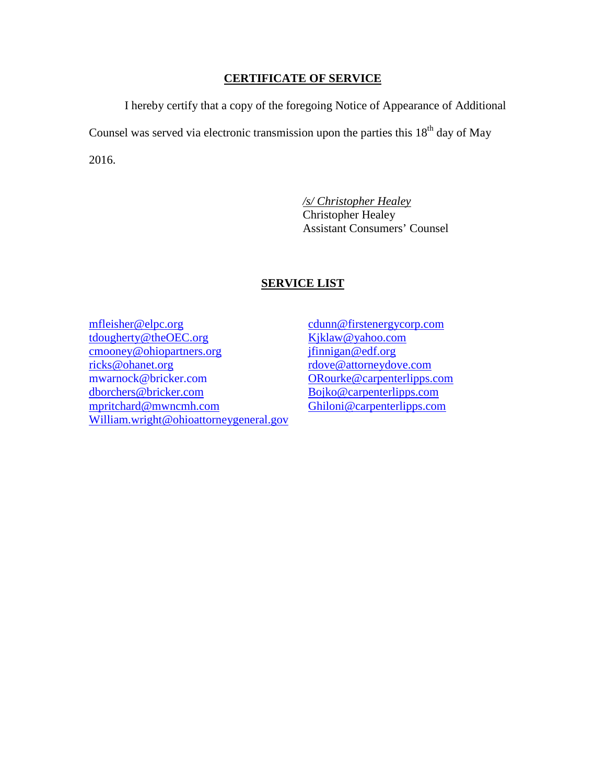### **CERTIFICATE OF SERVICE**

I hereby certify that a copy of the foregoing Notice of Appearance of Additional Counsel was served via electronic transmission upon the parties this  $18<sup>th</sup>$  day of May 2016.

> */s/ Christopher Healey* Christopher Healey Assistant Consumers' Counsel

### **SERVICE LIST**

[mfleisher@elpc.org](mailto:mfleisher@elpc.org) [tdougherty@theOEC.org](mailto:tdougherty@theOEC.org) [cmooney@ohiopartners.org](mailto:cmooney@ohiopartners.org) [ricks@ohanet.org](mailto:ricks@ohanet.org) mwarnock@bricker.com [dborchers@bricker.com](mailto:dborchers@bricker.com) [mpritchard@mwncmh.com](mailto:mpritchard@mwncmh.com) [William.wright@ohioattorneygeneral.gov](mailto:William.wright@ohioattorneygeneral.gov)

[cdunn@firstenergycorp.com](mailto:cdunn@firstenergycorp.com) [Kjklaw@yahoo.com](mailto:Kjklaw@yahoo.com) [jfinnigan@edf.org](mailto:jfinnigan@edf.org) [rdove@attorneydove.com](mailto:rdove@attorneydove.com) [ORourke@carpenterlipps.com](mailto:ORourke@carpenterlipps.com) [Bojko@carpenterlipps.com](mailto:Bojko@carpenterlipps.com) [Ghiloni@carpenterlipps.com](mailto:Ghiloni@carpenterlipps.com)